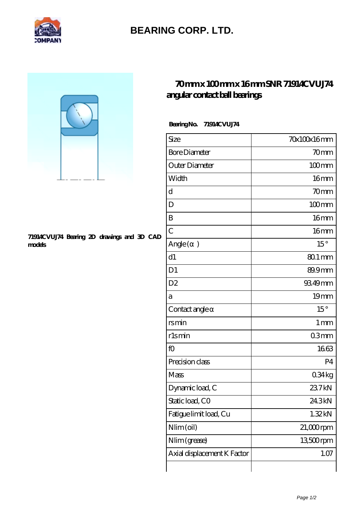

## **[BEARING CORP. LTD.](https://mamzellealacote.com)**



## **[71914CVUJ74 Bearing 2D drawings and 3D CAD](https://mamzellealacote.com/pic-395829.html) [models](https://mamzellealacote.com/pic-395829.html)**

## **[70 mm x 100 mm x 16 mm SNR 71914CVUJ74](https://mamzellealacote.com/aI-395829-snr-71914cvuj74-angular-contact-ball-bearings.html) [angular contact ball bearings](https://mamzellealacote.com/aI-395829-snr-71914cvuj74-angular-contact-ball-bearings.html)**

 **Bearing No. 71914CVUJ74**

| Size                        | 70x100x16mm         |
|-----------------------------|---------------------|
| <b>Bore Diameter</b>        | 70mm                |
| Outer Diameter              | $100$ <sub>mm</sub> |
| Width                       | 16mm                |
| d                           | 70mm                |
| D                           | $100$ mm            |
| B                           | 16 <sub>mm</sub>    |
| $\overline{C}$              | 16 <sub>mm</sub>    |
| Angle (<br>$\mathcal{E}$    | $15^{\circ}$        |
| d1                          | 80.1 mm             |
| D <sub>1</sub>              | 89.9mm              |
| D <sub>2</sub>              | 93.49mm             |
| а                           | 19mm                |
| Contact angle               | $15^{\circ}$        |
| rsmin                       | 1 <sub>mm</sub>     |
| rlsmin                      | 03 <sub>mm</sub>    |
| fO                          | 1663                |
| Precision class             | P <sub>4</sub>      |
| Mass                        | 0.34kg              |
| Dynamic load, C             | 237kN               |
| Static load, CO             | 24.3kN              |
| Fatigue limit load, Cu      | 1.32kN              |
| Nlim (oil)                  | $21,000$ rpm        |
| Nlim (grease)               | 13500rpm            |
| Axial displacement K Factor | 1.07                |
|                             |                     |